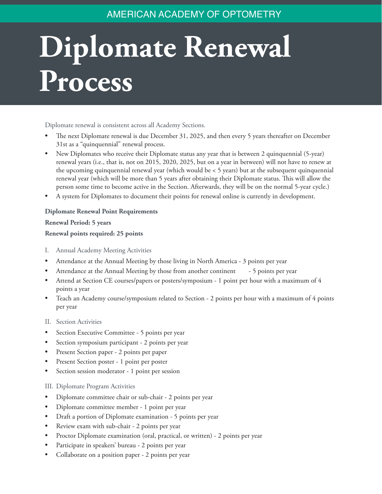## AMERICAN ACADEMY OF OPTOMETRY

# **Diplomate Renewal Process**

Diplomate renewal is consistent across all Academy Sections.

- The next Diplomate renewal is due December 31, 2025, and then every 5 years thereafter on December 31st as a "quinquennial" renewal process.
- New Diplomates who receive their Diplomate status any year that is between 2 quinquennial (5-year) renewal years (i.e., that is, not on 2015, 2020, 2025, but on a year in between) will not have to renew at the upcoming quinquennial renewal year (which would be < 5 years) but at the subsequent quinquennial renewal year (which will be more than 5 years after obtaining their Diplomate status. This will allow the person some time to become active in the Section. Afterwards, they will be on the normal 5-year cycle.)
- A system for Diplomates to document their points for renewal online is currently in development.

#### **Diplomate Renewal Point Requirements**

#### **Renewal Period: 5 years**

#### **Renewal points required: 25 points**

- I. Annual Academy Meeting Activities
- Attendance at the Annual Meeting by those living in North America 3 points per year
- Attendance at the Annual Meeting by those from another continent 5 points per year
- Attend at Section CE courses/papers or posters/symposium 1 point per hour with a maximum of 4 points a year
- Teach an Academy course/symposium related to Section 2 points per hour with a maximum of 4 points per year
- II. Section Activities
- Section Executive Committee 5 points per year
- Section symposium participant 2 points per year
- Present Section paper 2 points per paper
- Present Section poster 1 point per poster
- Section session moderator 1 point per session

#### III. Diplomate Program Activities

- Diplomate committee chair or sub-chair 2 points per year
- Diplomate committee member 1 point per year
- Draft a portion of Diplomate examination 5 points per year
- Review exam with sub-chair 2 points per year
- Proctor Diplomate examination (oral, practical, or written) 2 points per year
- Participate in speakers' bureau 2 points per year
- Collaborate on a position paper 2 points per year